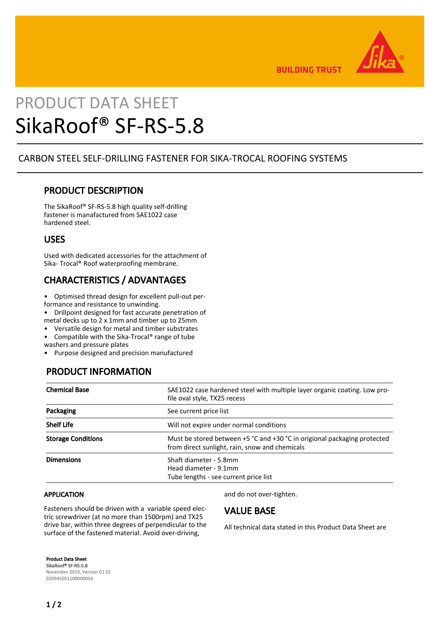

**BUILDING TRUST** 

# PRODUCT DATA SHEET SikaRoof® SF-RS-5.8

### CARBON STEEL SELF-DRILLING FASTENER FOR SIKA-TROCAL ROOFING SYSTEMS

## PRODUCT DESCRIPTION

The SikaRoof® SF-RS-5.8 high quality self-drilling fastener is manafactured from SAE1022 case hardened steel.

### USES

Used with dedicated accessories for the attachment of Sika- Trocal® Roof waterproofing membrane.

# CHARACTERISTICS / ADVANTAGES

• Optimised thread design for excellent pull-out per-

formance and resistance to unwinding.

• Drillpoint designed for fast accurate penetration of metal decks up to 2 x 1mm and timber up to 25mm

• Versatile design for metal and timber substrates

• Compatible with the Sika-Trocal® range of tube

washers and pressure plates

• Purpose designed and precision manufactured

# PRODUCT INFORMATION

| <b>Chemical Base</b>      | SAE1022 case hardened steel with multiple layer organic coating. Low pro-<br>file oval style, TX25 recess                  |
|---------------------------|----------------------------------------------------------------------------------------------------------------------------|
| Packaging                 | See current price list                                                                                                     |
| <b>Shelf Life</b>         | Will not expire under normal conditions                                                                                    |
| <b>Storage Conditions</b> | Must be stored between +5 °C and +30 °C in origional packaging protected<br>from direct sunlight, rain, snow and chemicals |
| <b>Dimensions</b>         | Shaft diameter - 5.8mm<br>Head diameter - 9.1mm<br>Tube lengths - see current price list                                   |

#### APPLICATION

Fasteners should be driven with a variable speed electric screwdriver (at no more than 1500rpm) and TX25 drive bar, within three degrees of perpendicular to the surface of the fastened material. Avoid over-driving,

and do not over-tighten.

### VALUE BASE

All technical data stated in this Product Data Sheet are

Product Data Sheet SikaRoof® SF-RS-5.8 November 2019, Version 01.01 020945051100000054